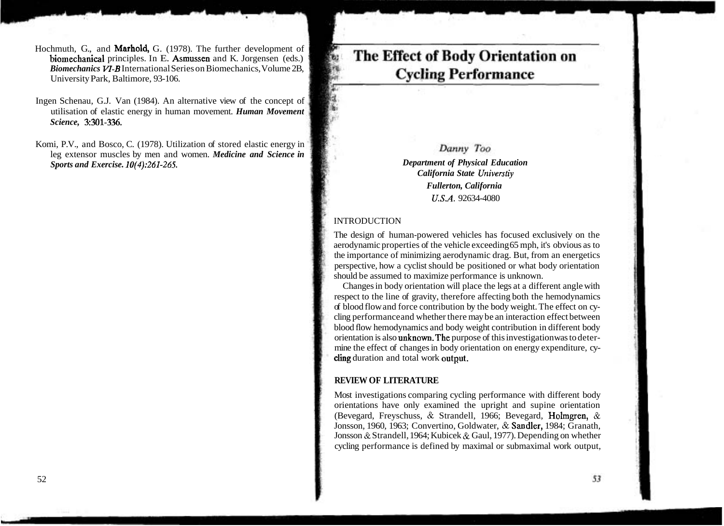# Danny Too

**Department of Physical Education** *California State Universtiy Fullerton, California U.S.A.* 92634-4080

### **INTRODUCTION**

The design of human-powered vehicles has focused exclusively on the aerodynamic properties of the vehicle exceeding 65 mph, it's obvious as to the importance of minimizing aerodynamic drag. But, from an energetics perspective, how a cyclist should be positioned or what body orientation should be assumed to maximize performance is unknown.

Changes in body orientation will place the legs at a different angle with respect to the line of gravity, therefore affecting both the hemodynamics of blood flow and force contribution by the body weight. The effect on cycling performance and whether there may be an interaction effect between blood flow hemodynamics and body weight contribution in different body orientation is also unknown.The purpose of this investigation was to determine the effect of changes in body orientation on energy expenditure, cycling duration and total work output.

#### **REVIEW OF LITERATURE**

Most investigations comparing cycling performance with different body orientations have only examined the upright and supine orientation (Bevegard, Freyschuss, & Strandell, 1966; Bevegard, Holmgren, & Jonsson, 1960, 1963; Convertino, Goldwater, & Sandler, 1984; Granath, Jonsson & Strandell, 1964; Kubicek & Gaul, 1977). Depending on whether cycling performance is defined by maximal or submaximal work output,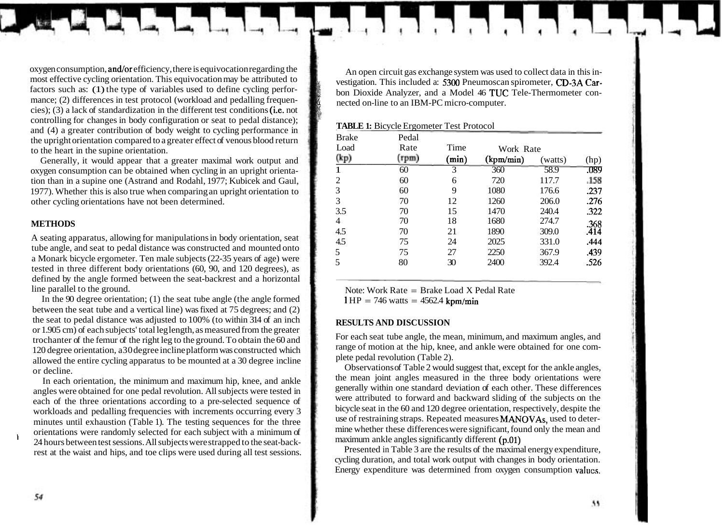oxygen consumption, and/or efficiency, there is equivocation regarding the most effective cycling orientation. This equivocation may be attributed to factors such as: (1) the type of variables used to define cycling performance: (2) differences in test protocol (workload and pedalling frequencies); (3) a lack of standardization in the different test conditions (i.e. not controlling for changes in body configuration or seat to pedal distance); and (4) a greater contribution of body weight to cycling performance in the upright orientation compared to a greater effect of venous blood return to the heart in the supine orientation.

Generally, it would appear that a greater maximal work output and oxygen consumption can be obtained when cycling in an upright orientation than in a supine one (Astrand and Rodahl, 1977; Kubicek and Gaul, 1977). Whether this is also true when comparing an upright orientation to other cycling orientations have not been determined.

#### **METHODS**

A seating apparatus, allowing for manipulations in body orientation, seat tube angle, and seat to pedal distance was constructed and mounted onto a Monark bicycle ergometer. Ten male subjects (22-35 years of age) were tested in three different body orientations (60, 90, and 120 degrees), as defined by the angle formed between the seat-backrest and a horizontal line parallel to the ground.

In the 90 degree orientation; (1) the seat tube angle (the angle formed between the seat tube and a vertical line) was fixed at 75 degrees; and (2) the seat to pedal distance was adjusted to 100% (to within 314 of an inch or 1.905 cm) of each subjects' total leg length, as measured from the greater trochanter of the femur of the right leg to the ground. To obtain the 60 and 120 degree orientation, a30 degree incline platform was constructed which allowed the entire cycling apparatus to be mounted at a 30 degree incline or decline.

In each orientation, the minimum and maximum hip, knee, and ankle angles were obtained for one pedal revolution. All subjects were tested in each of the three orientations according to a pre-selected sequence of workloads and pedalling frequencies with increments occurring every 3 minutes until exhaustion (Table 1). The testing sequences for the three orientations were randomly selected for each subject with a minimum of 24 hours between test sessions. All subjects were strapped to the seat-backrest at the waist and hips, and toe clips were used during all test sessions.

An open circuit gas exchange system was used to collect data in this investigation. This included a: 5300 Pneumoscan spirometer, CD-3A Carbon Dioxide Analyzer, and a Model 46 TUC Tele-Thermometer connected on-line to an IBM-PC micro-computer.

|              | <b>TADLE 1.</b> DICYCIC LI GOMERNI TUST I TOROCOT |       |           |         |      |
|--------------|---------------------------------------------------|-------|-----------|---------|------|
| <b>Brake</b> | Pedal                                             |       |           |         |      |
| Load         | Rate                                              | Time  | Work Rate |         |      |
| (kp)         | (rpm)                                             | (min) | (kpm/min) | (watts) | (hp) |
|              | 60                                                | 3     | 360       | 58.9    | .089 |
| 2            | 60                                                | 6     | 720       | 117.7   | .158 |
| 3            | 60                                                | 9     | 1080      | 176.6   | .237 |
| 3            | 70                                                | 12    | 1260      | 206.0   | .276 |
| 3.5          | 70                                                | 15    | 1470      | 240.4   | .322 |
| 4            | 70                                                | 18    | 1680      | 274.7   | .368 |
| 4.5          | 70                                                | 21    | 1890      | 309.0   | .414 |
| 4.5          | 75                                                | 24    | 2025      | 331.0   | .444 |
| 5            | 75                                                | 27    | 2250      | 367.9   | .439 |
| 5            | 80                                                | 30    | 2400      | 392.4   | .526 |
|              |                                                   |       |           |         |      |

**TABLE 1:** Bicycle Ergometer Test Protocol

'k

Note: Work Rate = Brake Load X Pedal Rate

 $1 \text{ HP} = 746 \text{ watts} = 4562.4 \text{ km/min}$ 

#### **RESULTS AND DISCUSSION**

For each seat tube angle, the mean, minimum, and maximum angles, and range of motion at the hip, knee, and ankle were obtained for one complete pedal revolution (Table 2).

Observations of Table 2 would suggest that, except for the ankle angles, the mean joint angles measured in the three body orientations were generally within one standard deviation of each other. These differences were attributed to forward and backward sliding of the subjects on the bicycle seat in the 60 and 120 degree orientation, respectively, despite the use of restraining straps. Repeated measures MANOVAs, used to determine whether these differences were significant, found only the mean and maximum ankle angles significantly different (p.01)

Presented in Table 3 are the results of the maximal energy expenditure, cycling duration, and total work output with changes in body orientation. Energy expenditure was determined from oxygen consumption valucs.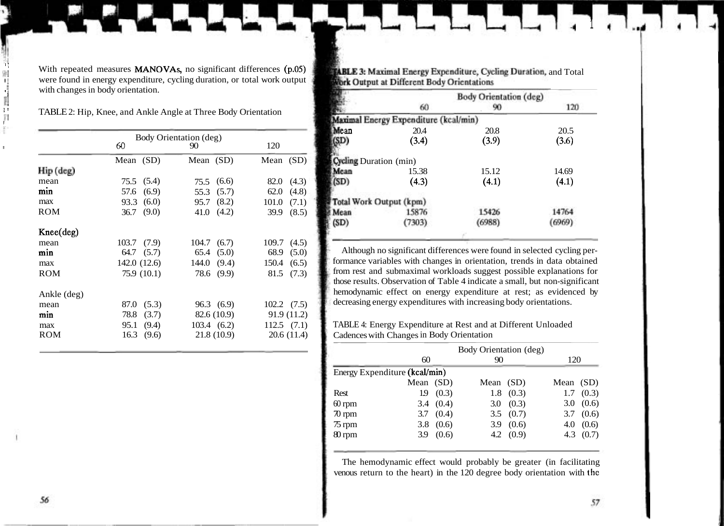With repeated measures MANOVAs, no significant differences (p.05) were found in energy expenditure, cycling duration, or total work output with changes in body orientation.

<sup>11</sup>TABLE 2: Hip, Knee, and Ankle Angle at Three Body Orientation

|                    | Body Orientation (deg) |                     |                     |  |  |
|--------------------|------------------------|---------------------|---------------------|--|--|
|                    | 60                     | 90                  | 120                 |  |  |
|                    | Mean (SD)              | Mean (SD)           | Mean (SD)           |  |  |
| Hip (deg)          |                        |                     |                     |  |  |
| mean               | 75.5 (5.4)             | (6.6)<br>75.5       | 82.0<br>(4.3)       |  |  |
| min                | (6.9)<br>57.6          | (5.7)<br>55.3       | 62.0<br>(4.8)       |  |  |
| max                | 93.3(6.0)              | 95.7 (8.2)          | (7.1)<br>101.0      |  |  |
| <b>ROM</b>         | 36.7 $(9.0)$           | 41.0 $(4.2)$        | 39.9<br>(8.5)       |  |  |
| $Knee(\text{deg})$ |                        |                     |                     |  |  |
| mean               | $103.7$ $(7.9)$        | 104.7 (6.7)         | $109.7 \quad (4.5)$ |  |  |
| min                | $64.7$ $(5.7)$         | $65.4$ $(5.0)$      | 68.9<br>(5.0)       |  |  |
| max                | 142.0(12.6)            | 144.0(9.4)          | 150.4(6.5)          |  |  |
| <b>ROM</b>         | 75.9 (10.1)            | 78.6 (9.9)          | 81.5<br>(7.3)       |  |  |
| Ankle (deg)        |                        |                     |                     |  |  |
| mean               | 87.0 (5.3)             | 96.3(6.9)           | $102.2 \quad (7.5)$ |  |  |
| min                | 78.8<br>(3.7)          | 82.6 (10.9)         | 91.9(11.2)          |  |  |
| max                | 95.1<br>(9.4)          | $103.4 \quad (6.2)$ | $112.5$ $(7.1)$     |  |  |
| ROM                | 16.3(9.6)              | 21.8 (10.9)         | 20.6(11.4)          |  |  |

**FABLE 3: Maximal Energy Expenditure, Cycling Duration, and Total** Work Output at Different Body Orientations

|                               |                                       | Body Orientation (deg) |       |
|-------------------------------|---------------------------------------|------------------------|-------|
|                               | 60                                    | 90                     | 120   |
|                               | Maximal Energy Expenditure (kcal/min) |                        |       |
| Mean                          | 20.4                                  | 20.8                   | 20.5  |
| 'SD)                          | (3.4)                                 | (3.9)                  | (3.6) |
|                               |                                       |                        |       |
| <b>Cycling Duration</b> (min) |                                       |                        |       |
| Mcan                          | 15.38                                 | 15.12                  | 14.69 |
| (SD)                          | (4.3)                                 | (4.1)                  | (4.1) |
|                               | Total Work Output (kpm)               |                        |       |
| Mean                          | 15876                                 | 15426                  | 14764 |
| (SD)                          | 7303)                                 | (6988)                 | 6969) |
|                               |                                       |                        |       |

Although no significant differences were found in selected cycling performance variables with changes in orientation, trends in data obtained from rest and submaximal workloads suggest possible explanations for those results. Observation of Table 4 indicate a small, but non-significant hemodynamic effect on energy expenditure at rest; as evidenced by decreasing energy expenditures with increasing body orientations.

TABLE 4: Energy Expenditure at Rest and at Different Unloaded Cadences with Changes in Body Orientation

|                               | Body Orientation (deg) |             |             |               |             |                   |
|-------------------------------|------------------------|-------------|-------------|---------------|-------------|-------------------|
|                               | 60                     |             | 90          |               | 120         |                   |
| Energy Expenditure (kcal/min) |                        |             |             |               |             |                   |
|                               | Mean (SD)              |             | Mean $(SD)$ |               | Mean $(SD)$ |                   |
| Rest                          |                        | 19(0.3)     |             | $1.8$ $(0.3)$ |             | $1.7 \quad (0.3)$ |
| $60$ rpm                      |                        | 3.4 $(0.4)$ |             | 3.0 $(0.3)$   |             | 3.0(0.6)          |
| $\pi$ rpm                     |                        | 3.7 $(0.4)$ |             | 3.5 $(0.7)$   |             | 3.7(0.6)          |
| $75$ rpm                      |                        | 3.8 $(0.6)$ |             | 3.9 $(0.6)$   | 4.0         | (0.6)             |
| 80 rpm                        |                        | 3.9 $(0.6)$ |             | 4.2 $(0.9)$   |             | 4.3 $(0.7)$       |
|                               |                        |             |             |               |             |                   |

The hemodynamic effect would probably be greater (in facilitating venous return to the heart) in the 120 degree body orientation with the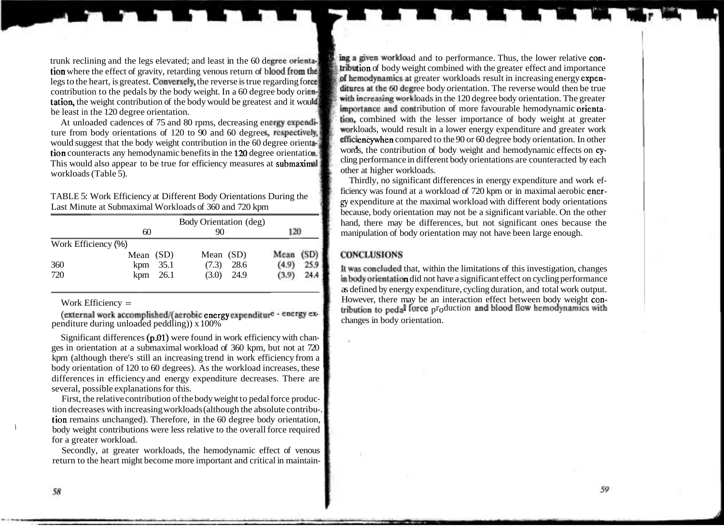tion where the effect of gravity, retarding venous return of blood from the set of body weight combined with the greater effect and importance<br>Legate the beauties greatest. Containing the general is the greater in a magnet legs to the heart, is greatest. Conversely, the reverse is true regarding force is at the full annot grands at greater workloads result in increasing energy expen-<br>ditures at the 60 decree body orientation. The reverse wou contribution to the pedals by the body weight. In a 60 degree body orienting solutions at the 60 degree body orientation. The reverse would then be true<br>tation, the weight contribution of the body would be greatest and it tation, the weight contribution of the body would be greatest and it would be least in the 120 degree orientation.

ture from body orientations of 120 to 90 and 60 degrees, respectively, workloads, would result in a lower energy expenditure and greater work<br>Efficiency when compared to the 90 or 60 degree body orientation. In other would suggest that the body weight contribution in the 60 degree orient encyclopedial compared to the 90 or 60 degree body orientation. In other<br>tion counterests any hamodynamic bandis bandis in the 120 degree orientation. tion counteracts any hemodynamic benefits in the 120 degree orientation. Words, the contribution of body weight and hemodynamic effects on cy-<br>This words are counteracted by each<br>This words are counteracted by each This would also appear to be true for efficiency measures at submaximal workloads (Table 5). This would also appear to be true for efficiency measures at submanimal other at higher workloads.

TABLE 5: Work Efficiency at Different Body Orientations During the

|                     | 60          | Body Orientation (deg)<br>90 |       |           | 120  |  |
|---------------------|-------------|------------------------------|-------|-----------|------|--|
| Work Efficiency (%) |             |                              |       |           |      |  |
|                     | Mean $(SD)$ | Mean (SD)                    |       | Mean (SD) |      |  |
| 360                 | $kpm$ 35.1  | (7.3)                        | 28.6  | (4.9)     | 25.9 |  |
| 720                 | $kpm$ 26.1  | (3.0)                        | -24.9 | (3.9)     | 24.4 |  |

penditure during unloaded peddling))  $x 100\%$ 

Significant differences (p.01) were found in work efficiency with changes in orientation at a submaximal workload of 360 kpm, but not at 720 kprn (although there's still an increasing trend in work efficiency from a body orientation of 120 to 60 degrees). As the workload increases, these differences in efficiency and energy expenditure decreases. There are several, possible explanations for this.

First, the relative contribution of the body weight to pedal force production decreases with increasing workloads (although the absolute contribu-. tion remains unchanged). Therefore, in the 60 degree body orientation, body weight contributions were less relative to the overall force required for a greater workload.

Secondly, at greater workloads, the hemodynamic effect of venous return to the heart might become more important and critical in maintain-

trunk reclining and the legs elevated; and least in the 60 degree orienta. Thus, the lower relative con-<br>tion where the offect of growity, retarding young return of blood from the **tribution** of body weight combined with t importance and contribution of more favourable hemodynamic orienta-At unloaded cadences of 75 and 80 rpms, decreasing energy expendi-<br>At unloaded cadences of 75 and 80 rpms, decreasing energy expendi-<br>workloads, would result in a lower energy expenditure and greater work

Thirdly, no significant differences in energy expenditure and work efficiency was found at a workload of 720 kpm or in maximal aerobic ener-Last Minute at Submaximal Workloads of 360 and 720 kpm **g gy** expenditure at the maximal workload with different body orientations Last Minute at Submaximal Workloads of 360 and 720 kpm because, body orientation may not be a significant variable. On the other hand, there may be differences, but not significant ones because the manipulation of body orientation may not have been large enough.

# **CONCLUSIONS**

It was concluded that, within the limitations of this investigation, changes in body orientation did not have a significant effect on cycling performance as defined by energy expenditure, cycling duration, and total work output. Work Efficiency  $=$  However, there may be an interaction effect between body weight con-(external work accomplished/(aerobic energy expenditure - energy ex-<br>
(external work accomplished/(aerobic energy expenditure - energy ex-<br>
changes in body orientation.